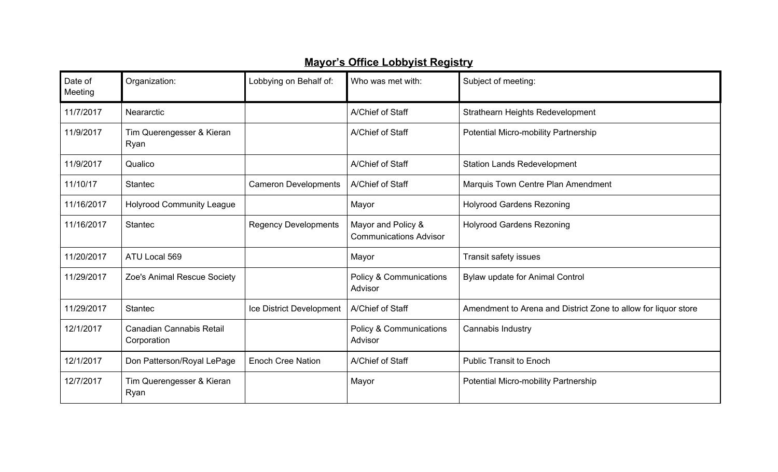## **Mayor's Office Lobbyist Registry**

| Date of<br>Meeting | Organization:                           | Lobbying on Behalf of:      | Who was met with:                                   | Subject of meeting:                                            |
|--------------------|-----------------------------------------|-----------------------------|-----------------------------------------------------|----------------------------------------------------------------|
| 11/7/2017          | Neararctic                              |                             | A/Chief of Staff                                    | <b>Strathearn Heights Redevelopment</b>                        |
| 11/9/2017          | Tim Querengesser & Kieran<br>Ryan       |                             | A/Chief of Staff                                    | Potential Micro-mobility Partnership                           |
| 11/9/2017          | Qualico                                 |                             | A/Chief of Staff                                    | <b>Station Lands Redevelopment</b>                             |
| 11/10/17           | <b>Stantec</b>                          | <b>Cameron Developments</b> | A/Chief of Staff                                    | Marquis Town Centre Plan Amendment                             |
| 11/16/2017         | <b>Holyrood Community League</b>        |                             | Mayor                                               | <b>Holyrood Gardens Rezoning</b>                               |
| 11/16/2017         | <b>Stantec</b>                          | <b>Regency Developments</b> | Mayor and Policy &<br><b>Communications Advisor</b> | <b>Holyrood Gardens Rezoning</b>                               |
| 11/20/2017         | ATU Local 569                           |                             | Mayor                                               | Transit safety issues                                          |
| 11/29/2017         | Zoe's Animal Rescue Society             |                             | <b>Policy &amp; Communications</b><br>Advisor       | Bylaw update for Animal Control                                |
| 11/29/2017         | <b>Stantec</b>                          | Ice District Development    | A/Chief of Staff                                    | Amendment to Arena and District Zone to allow for liquor store |
| 12/1/2017          | Canadian Cannabis Retail<br>Corporation |                             | Policy & Communications<br>Advisor                  | Cannabis Industry                                              |
| 12/1/2017          | Don Patterson/Royal LePage              | <b>Enoch Cree Nation</b>    | A/Chief of Staff                                    | <b>Public Transit to Enoch</b>                                 |
| 12/7/2017          | Tim Querengesser & Kieran<br>Ryan       |                             | Mayor                                               | <b>Potential Micro-mobility Partnership</b>                    |